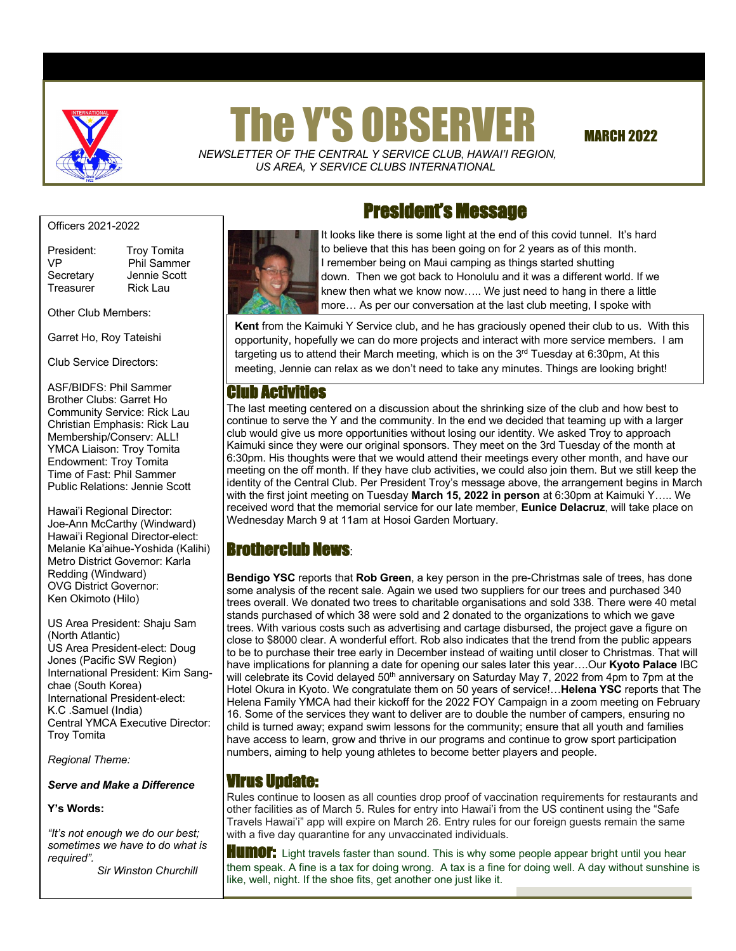

# **The Y'S OBSERVER MARCH 2022**

 *NEWSLETTER OF THE CENTRAL Y SERVICE CLUB*, *HAWAI'I REGION, US AREA, Y SERVICE CLUBS INTERNATIONAL*

Officers 2021-2022

Treasurer Rick Lau

President: Troy Tomita VP Phil Sammer Secretary Jennie Scott

Other Club Members:

Garret Ho, Roy Tateishi

Club Service Directors:

ASF/BIDFS: Phil Sammer Brother Clubs: Garret Ho Community Service: Rick Lau Christian Emphasis: Rick Lau Membership/Conserv: ALL! YMCA Liaison: Troy Tomita Endowment: Troy Tomita Time of Fast: Phil Sammer Public Relations: Jennie Scott

Hawai'i Regional Director: Joe-Ann McCarthy (Windward) Hawai'i Regional Director-elect: Melanie Ka'aihue-Yoshida (Kalihi) Metro District Governor: Karla Redding (Windward) OVG District Governor: Ken Okimoto (Hilo)

US Area President: Shaju Sam (North Atlantic) US Area President-elect: Doug Jones (Pacific SW Region) International President: Kim Sangchae (South Korea) International President-elect: K.C .Samuel (India) Central YMCA Executive Director: Troy Tomita

*Regional Theme:* 

*Serve and Make a Difference*

#### **Y's Words:**

 *sometimes we have to do what is "It's not enough we do our best; required".*

 *Sir Winston Churchill* 

# President's Message



It looks like there is some light at the end of this covid tunnel. It's hard to believe that this has been going on for 2 years as of this month. I remember being on Maui camping as things started shutting down. Then we got back to Honolulu and it was a different world. If we knew then what we know now….. We just need to hang in there a little more… As per our conversation at the last club meeting, I spoke with

**Kent** from the Kaimuki Y Service club, and he has graciously opened their club to us. With this opportunity, hopefully we can do more projects and interact with more service members. I am targeting us to attend their March meeting, which is on the  $3<sup>rd</sup>$  Tuesday at 6:30pm, At this meeting, Jennie can relax as we don't need to take any minutes. Things are looking bright!

## Club Activities

The last meeting centered on a discussion about the shrinking size of the club and how best to continue to serve the Y and the community. In the end we decided that teaming up with a larger club would give us more opportunities without losing our identity. We asked Troy to approach Kaimuki since they were our original sponsors. They meet on the 3rd Tuesday of the month at 6:30pm. His thoughts were that we would attend their meetings every other month, and have our meeting on the off month. If they have club activities, we could also join them. But we still keep the identity of the Central Club. Per President Troy's message above, the arrangement begins in March with the first joint meeting on Tuesday **March 15, 2022 in person** at 6:30pm at Kaimuki Y….. We received word that the memorial service for our late member, **Eunice Delacruz**, will take place on Wednesday March 9 at 11am at Hosoi Garden Mortuary.

# Brotherclub News:

**Bendigo YSC** reports that **Rob Green**, a key person in the pre-Christmas sale of trees, has done some analysis of the recent sale. Again we used two suppliers for our trees and purchased 340 trees overall. We donated two trees to charitable organisations and sold 338. There were 40 metal stands purchased of which 38 were sold and 2 donated to the organizations to which we gave trees. With various costs such as advertising and cartage disbursed, the project gave a figure on close to \$8000 clear. A wonderful effort. Rob also indicates that the trend from the public appears to be to purchase their tree early in December instead of waiting until closer to Christmas. That will have implications for planning a date for opening our sales later this year….Our **Kyoto Palace** IBC will celebrate its Covid delayed 50<sup>th</sup> anniversary on Saturday May 7, 2022 from 4pm to 7pm at the Hotel Okura in Kyoto. We congratulate them on 50 years of service!…**Helena YSC** reports that The Helena Family YMCA had their kickoff for the 2022 FOY Campaign in a zoom meeting on February 16. Some of the services they want to deliver are to double the number of campers, ensuring no child is turned away; expand swim lessons for the community; ensure that all youth and families have access to learn, grow and thrive in our programs and continue to grow sport participation numbers, aiming to help young athletes to become better players and people.

## Virus Update:

Rules continue to loosen as all counties drop proof of vaccination requirements for restaurants and other facilities as of March 5. Rules for entry into Hawai'i from the US continent using the "Safe Travels Hawai'i" app will expire on March 26. Entry rules for our foreign guests remain the same with a five day quarantine for any unvaccinated individuals.

**HUMOF:** Light travels faster than sound. This is why some people appear bright until you hear them speak. A fine is a tax for doing wrong. A tax is a fine for doing well. A day without sunshine is like, well, night. If the shoe fits, get another one just like it.